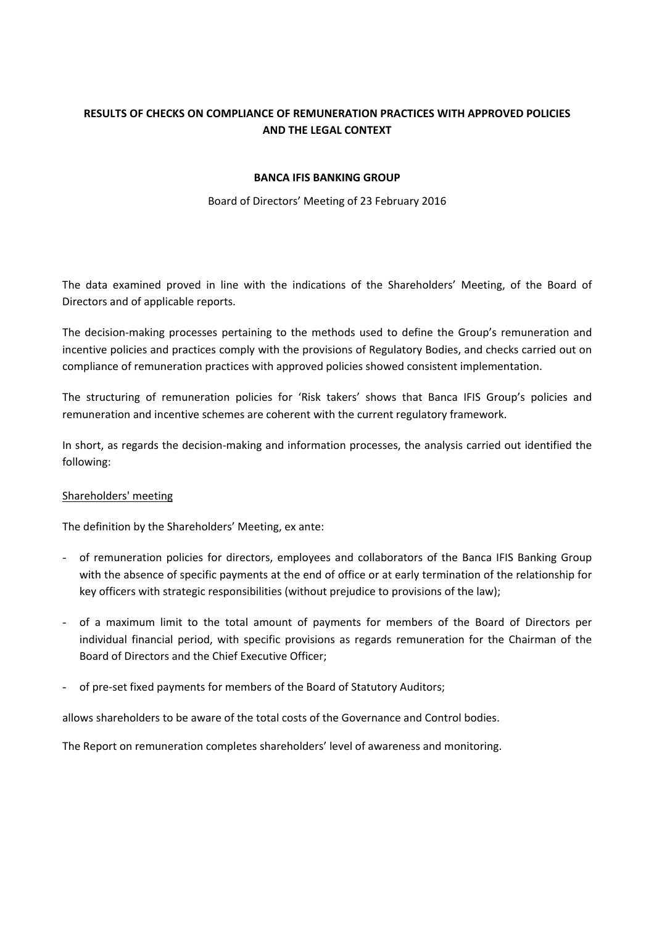# **RESULTS OF CHECKS ON COMPLIANCE OF REMUNERATION PRACTICES WITH APPROVED POLICIES AND THE LEGAL CONTEXT**

#### **BANCA IFIS BANKING GROUP**

#### Board of Directors' Meeting of 23 February 2016

The data examined proved in line with the indications of the Shareholders' Meeting, of the Board of Directors and of applicable reports.

The decision-making processes pertaining to the methods used to define the Group's remuneration and incentive policies and practices comply with the provisions of Regulatory Bodies, and checks carried out on compliance of remuneration practices with approved policies showed consistent implementation.

The structuring of remuneration policies for 'Risk takers' shows that Banca IFIS Group's policies and remuneration and incentive schemes are coherent with the current regulatory framework.

In short, as regards the decision-making and information processes, the analysis carried out identified the following:

#### Shareholders' meeting

The definition by the Shareholders' Meeting, ex ante:

- of remuneration policies for directors, employees and collaborators of the Banca IFIS Banking Group with the absence of specific payments at the end of office or at early termination of the relationship for key officers with strategic responsibilities (without prejudice to provisions of the law);
- of a maximum limit to the total amount of payments for members of the Board of Directors per individual financial period, with specific provisions as regards remuneration for the Chairman of the Board of Directors and the Chief Executive Officer;
- of pre-set fixed payments for members of the Board of Statutory Auditors;

allows shareholders to be aware of the total costs of the Governance and Control bodies.

The Report on remuneration completes shareholders' level of awareness and monitoring.